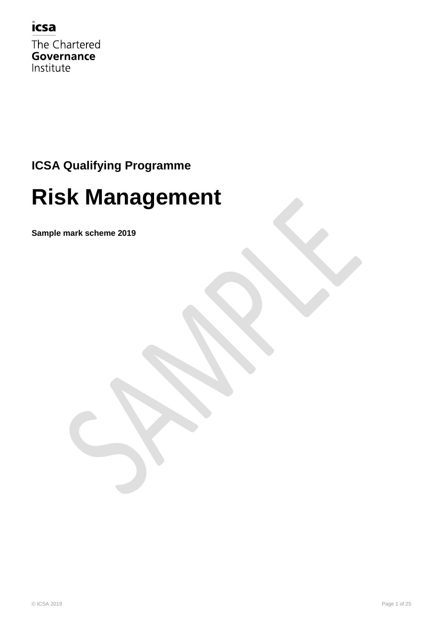### icsa

The Chartered Governance Institute

### **ICSA Qualifying Programme**

# **Risk Management**

**Sample mark scheme 2019**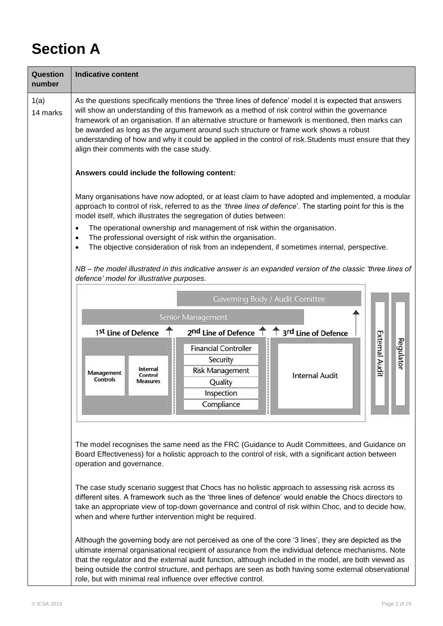# **Section A**

| Question<br>number | <b>Indicative content</b>                                                                                                                                                                                                                                                                                                                                                                                                                                                                                                                                       |
|--------------------|-----------------------------------------------------------------------------------------------------------------------------------------------------------------------------------------------------------------------------------------------------------------------------------------------------------------------------------------------------------------------------------------------------------------------------------------------------------------------------------------------------------------------------------------------------------------|
| 1(a)<br>14 marks   | As the questions specifically mentions the 'three lines of defence' model it is expected that answers<br>will show an understanding of this framework as a method of risk control within the governance<br>framework of an organisation. If an alternative structure or framework is mentioned, then marks can<br>be awarded as long as the argument around such structure or frame work shows a robust<br>understanding of how and why it could be applied in the control of risk. Students must ensure that they<br>align their comments with the case study. |
|                    | Answers could include the following content:                                                                                                                                                                                                                                                                                                                                                                                                                                                                                                                    |
|                    | Many organisations have now adopted, or at least claim to have adopted and implemented, a modular<br>approach to control of risk, referred to as the 'three lines of defence'. The starting point for this is the<br>model itself, which illustrates the segregation of duties between:                                                                                                                                                                                                                                                                         |
|                    | The operational ownership and management of risk within the organisation.<br>$\bullet$<br>The professional oversight of risk within the organisation.<br>$\bullet$<br>The objective consideration of risk from an independent, if sometimes internal, perspective.<br>$\bullet$                                                                                                                                                                                                                                                                                 |
|                    | NB – the model illustrated in this indicative answer is an expanded version of the classic 'three lines of<br>defence' model for illustrative purposes.                                                                                                                                                                                                                                                                                                                                                                                                         |
|                    | Governing Body / Audit Comittee                                                                                                                                                                                                                                                                                                                                                                                                                                                                                                                                 |
|                    | Senior Management                                                                                                                                                                                                                                                                                                                                                                                                                                                                                                                                               |
|                    | 2nd Line of Defence 1 1 3rd Line of Defence<br>1 <sup>st</sup> Line of Defence<br><b>External Audit</b><br>Regulator<br><b>Financial Controller</b><br>Security<br>Internal<br><b>Risk Management</b><br>Management<br><b>Internal Audit</b><br>Control<br><b>Controls</b><br><b>Measures</b><br>Quality<br>Inspection<br>Compliance                                                                                                                                                                                                                            |
|                    | The model recognises the same need as the FRC (Guidance to Audit Committees, and Guidance on<br>Board Effectiveness) for a holistic approach to the control of risk, with a significant action between<br>operation and governance.<br>The case study scenario suggest that Chocs has no holistic approach to assessing risk across its<br>different sites. A framework such as the 'three lines of defence' would enable the Chocs directors to                                                                                                                |
|                    | take an appropriate view of top-down governance and control of risk within Choc, and to decide how,<br>when and where further intervention might be required.                                                                                                                                                                                                                                                                                                                                                                                                   |
|                    | Although the governing body are not perceived as one of the core '3 lines', they are depicted as the<br>ultimate internal organisational recipient of assurance from the individual defence mechanisms. Note<br>that the regulator and the external audit function, although included in the model, are both viewed as<br>being outside the control structure, and perhaps are seen as both having some external observational<br>role, but with minimal real influence over effective control.                                                                 |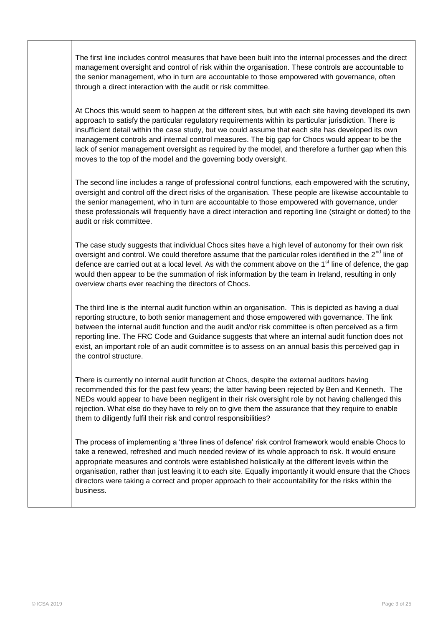The first line includes control measures that have been built into the internal processes and the direct management oversight and control of risk within the organisation. These controls are accountable to the senior management, who in turn are accountable to those empowered with governance, often through a direct interaction with the audit or risk committee.

At Chocs this would seem to happen at the different sites, but with each site having developed its own approach to satisfy the particular regulatory requirements within its particular jurisdiction. There is insufficient detail within the case study, but we could assume that each site has developed its own management controls and internal control measures. The big gap for Chocs would appear to be the lack of senior management oversight as required by the model, and therefore a further gap when this moves to the top of the model and the governing body oversight.

The second line includes a range of professional control functions, each empowered with the scrutiny, oversight and control off the direct risks of the organisation. These people are likewise accountable to the senior management, who in turn are accountable to those empowered with governance, under these professionals will frequently have a direct interaction and reporting line (straight or dotted) to the audit or risk committee.

The case study suggests that individual Chocs sites have a high level of autonomy for their own risk oversight and control. We could therefore assume that the particular roles identified in the  $2<sup>nd</sup>$  line of defence are carried out at a local level. As with the comment above on the 1<sup>st</sup> line of defence, the gap would then appear to be the summation of risk information by the team in Ireland, resulting in only overview charts ever reaching the directors of Chocs.

The third line is the internal audit function within an organisation. This is depicted as having a dual reporting structure, to both senior management and those empowered with governance. The link between the internal audit function and the audit and/or risk committee is often perceived as a firm reporting line. The FRC Code and Guidance suggests that where an internal audit function does not exist, an important role of an audit committee is to assess on an annual basis this perceived gap in the control structure.

There is currently no internal audit function at Chocs, despite the external auditors having recommended this for the past few years; the latter having been rejected by Ben and Kenneth. The NEDs would appear to have been negligent in their risk oversight role by not having challenged this rejection. What else do they have to rely on to give them the assurance that they require to enable them to diligently fulfil their risk and control responsibilities?

The process of implementing a "three lines of defence" risk control framework would enable Chocs to take a renewed, refreshed and much needed review of its whole approach to risk. It would ensure appropriate measures and controls were established holistically at the different levels within the organisation, rather than just leaving it to each site. Equally importantly it would ensure that the Chocs directors were taking a correct and proper approach to their accountability for the risks within the business.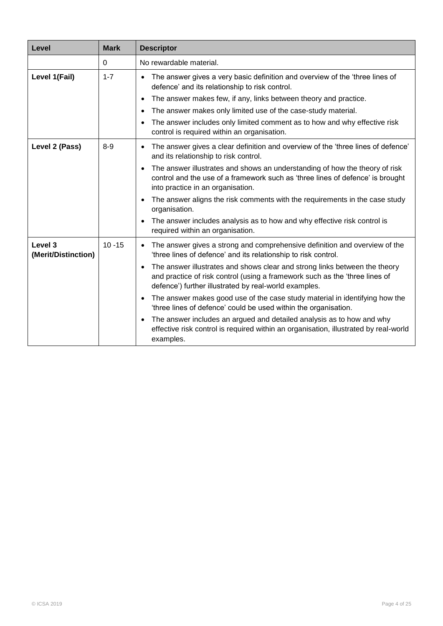| Level                          | <b>Mark</b> | <b>Descriptor</b>                                                                                                                                                                                                               |
|--------------------------------|-------------|---------------------------------------------------------------------------------------------------------------------------------------------------------------------------------------------------------------------------------|
|                                | $\Omega$    | No rewardable material.                                                                                                                                                                                                         |
| Level 1(Fail)                  | $1 - 7$     | The answer gives a very basic definition and overview of the 'three lines of<br>defence' and its relationship to risk control.                                                                                                  |
|                                |             | The answer makes few, if any, links between theory and practice.<br>$\bullet$                                                                                                                                                   |
|                                |             | The answer makes only limited use of the case-study material.<br>$\bullet$                                                                                                                                                      |
|                                |             | The answer includes only limited comment as to how and why effective risk<br>control is required within an organisation.                                                                                                        |
| Level 2 (Pass)                 | $8-9$       | The answer gives a clear definition and overview of the 'three lines of defence'<br>and its relationship to risk control.                                                                                                       |
|                                |             | The answer illustrates and shows an understanding of how the theory of risk<br>$\bullet$<br>control and the use of a framework such as 'three lines of defence' is brought<br>into practice in an organisation.                 |
|                                |             | The answer aligns the risk comments with the requirements in the case study<br>organisation.                                                                                                                                    |
|                                |             | The answer includes analysis as to how and why effective risk control is<br>$\bullet$<br>required within an organisation.                                                                                                       |
| Level 3<br>(Merit/Distinction) | $10 - 15$   | The answer gives a strong and comprehensive definition and overview of the<br>'three lines of defence' and its relationship to risk control.                                                                                    |
|                                |             | The answer illustrates and shows clear and strong links between the theory<br>$\bullet$<br>and practice of risk control (using a framework such as the 'three lines of<br>defence') further illustrated by real-world examples. |
|                                |             | The answer makes good use of the case study material in identifying how the<br>$\bullet$<br>'three lines of defence' could be used within the organisation.                                                                     |
|                                |             | The answer includes an argued and detailed analysis as to how and why<br>$\bullet$<br>effective risk control is required within an organisation, illustrated by real-world<br>examples.                                         |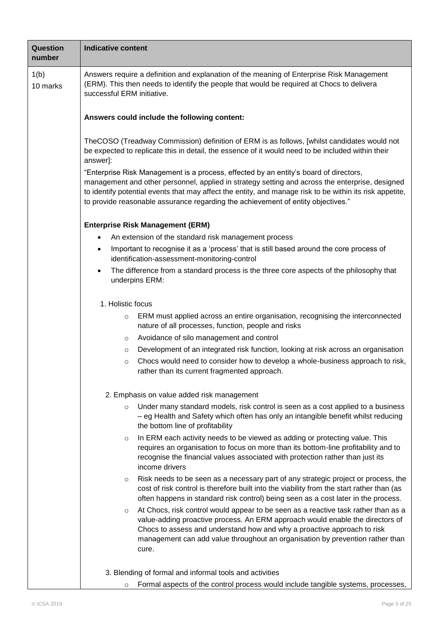| <b>Question</b><br>number | <b>Indicative content</b>                                                                                                                                                                                                                                                                                                                                                                |  |  |
|---------------------------|------------------------------------------------------------------------------------------------------------------------------------------------------------------------------------------------------------------------------------------------------------------------------------------------------------------------------------------------------------------------------------------|--|--|
| 1(b)<br>10 marks          | Answers require a definition and explanation of the meaning of Enterprise Risk Management<br>(ERM). This then needs to identify the people that would be required at Chocs to delivera<br>successful ERM initiative.                                                                                                                                                                     |  |  |
|                           | Answers could include the following content:                                                                                                                                                                                                                                                                                                                                             |  |  |
|                           | TheCOSO (Treadway Commission) definition of ERM is as follows, [whilst candidates would not<br>be expected to replicate this in detail, the essence of it would need to be included within their<br>answer]:                                                                                                                                                                             |  |  |
|                           | "Enterprise Risk Management is a process, effected by an entity's board of directors,<br>management and other personnel, applied in strategy setting and across the enterprise, designed<br>to identify potential events that may affect the entity, and manage risk to be within its risk appetite,<br>to provide reasonable assurance regarding the achievement of entity objectives." |  |  |
|                           | <b>Enterprise Risk Management (ERM)</b>                                                                                                                                                                                                                                                                                                                                                  |  |  |
|                           | An extension of the standard risk management process<br>٠                                                                                                                                                                                                                                                                                                                                |  |  |
|                           | Important to recognise it as a 'process' that is still based around the core process of<br>$\bullet$<br>identification-assessment-monitoring-control                                                                                                                                                                                                                                     |  |  |
|                           | The difference from a standard process is the three core aspects of the philosophy that<br>$\bullet$<br>underpins ERM:                                                                                                                                                                                                                                                                   |  |  |
|                           | 1. Holistic focus                                                                                                                                                                                                                                                                                                                                                                        |  |  |
|                           | ERM must applied across an entire organisation, recognising the interconnected<br>$\circ$<br>nature of all processes, function, people and risks                                                                                                                                                                                                                                         |  |  |
|                           | Avoidance of silo management and control<br>O                                                                                                                                                                                                                                                                                                                                            |  |  |
|                           | Development of an integrated risk function, looking at risk across an organisation<br>$\circ$                                                                                                                                                                                                                                                                                            |  |  |
|                           | Chocs would need to consider how to develop a whole-business approach to risk,<br>$\circ$<br>rather than its current fragmented approach.                                                                                                                                                                                                                                                |  |  |
|                           | 2. Emphasis on value added risk management                                                                                                                                                                                                                                                                                                                                               |  |  |
|                           | Under many standard models, risk control is seen as a cost applied to a business<br>$\circ$<br>- eg Health and Safety which often has only an intangible benefit whilst reducing<br>the bottom line of profitability                                                                                                                                                                     |  |  |
|                           | In ERM each activity needs to be viewed as adding or protecting value. This<br>$\circ$<br>requires an organisation to focus on more than its bottom-line profitability and to<br>recognise the financial values associated with protection rather than just its<br>income drivers                                                                                                        |  |  |
|                           | Risk needs to be seen as a necessary part of any strategic project or process, the<br>$\circ$<br>cost of risk control is therefore built into the viability from the start rather than (as<br>often happens in standard risk control) being seen as a cost later in the process.                                                                                                         |  |  |
|                           | At Chocs, risk control would appear to be seen as a reactive task rather than as a<br>$\circ$<br>value-adding proactive process. An ERM approach would enable the directors of<br>Chocs to assess and understand how and why a proactive approach to risk<br>management can add value throughout an organisation by prevention rather than<br>cure.                                      |  |  |
|                           | 3. Blending of formal and informal tools and activities                                                                                                                                                                                                                                                                                                                                  |  |  |
|                           | Formal aspects of the control process would include tangible systems, processes,<br>$\circ$                                                                                                                                                                                                                                                                                              |  |  |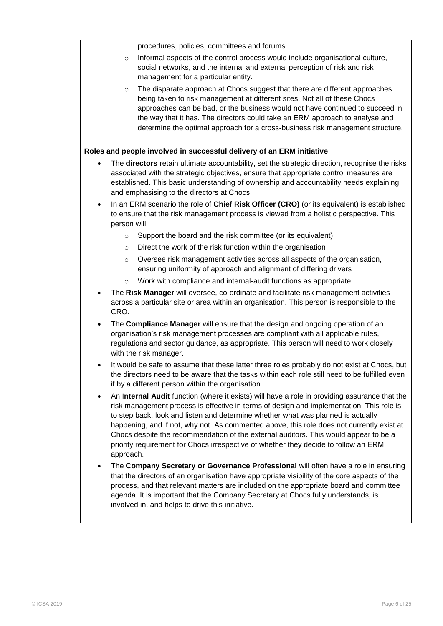| procedures, policies, committees and forums                                                                                                                                                                                                                                                                                                                                                                                                                                                                                                                                         |
|-------------------------------------------------------------------------------------------------------------------------------------------------------------------------------------------------------------------------------------------------------------------------------------------------------------------------------------------------------------------------------------------------------------------------------------------------------------------------------------------------------------------------------------------------------------------------------------|
| Informal aspects of the control process would include organisational culture,<br>$\circ$<br>social networks, and the internal and external perception of risk and risk<br>management for a particular entity.                                                                                                                                                                                                                                                                                                                                                                       |
| The disparate approach at Chocs suggest that there are different approaches<br>$\circ$<br>being taken to risk management at different sites. Not all of these Chocs<br>approaches can be bad, or the business would not have continued to succeed in<br>the way that it has. The directors could take an ERM approach to analyse and<br>determine the optimal approach for a cross-business risk management structure.                                                                                                                                                              |
| Roles and people involved in successful delivery of an ERM initiative                                                                                                                                                                                                                                                                                                                                                                                                                                                                                                               |
| The directors retain ultimate accountability, set the strategic direction, recognise the risks<br>$\bullet$<br>associated with the strategic objectives, ensure that appropriate control measures are<br>established. This basic understanding of ownership and accountability needs explaining<br>and emphasising to the directors at Chocs.                                                                                                                                                                                                                                       |
| In an ERM scenario the role of Chief Risk Officer (CRO) (or its equivalent) is established<br>$\bullet$<br>to ensure that the risk management process is viewed from a holistic perspective. This<br>person will                                                                                                                                                                                                                                                                                                                                                                    |
| Support the board and the risk committee (or its equivalent)<br>$\circ$                                                                                                                                                                                                                                                                                                                                                                                                                                                                                                             |
| Direct the work of the risk function within the organisation<br>$\circ$                                                                                                                                                                                                                                                                                                                                                                                                                                                                                                             |
| Oversee risk management activities across all aspects of the organisation,<br>$\circ$<br>ensuring uniformity of approach and alignment of differing drivers                                                                                                                                                                                                                                                                                                                                                                                                                         |
| Work with compliance and internal-audit functions as appropriate<br>$\circ$                                                                                                                                                                                                                                                                                                                                                                                                                                                                                                         |
| The Risk Manager will oversee, co-ordinate and facilitate risk management activities<br>across a particular site or area within an organisation. This person is responsible to the<br>CRO.                                                                                                                                                                                                                                                                                                                                                                                          |
| The Compliance Manager will ensure that the design and ongoing operation of an<br>$\bullet$<br>organisation's risk management processes are compliant with all applicable rules,<br>regulations and sector guidance, as appropriate. This person will need to work closely<br>with the risk manager.                                                                                                                                                                                                                                                                                |
| It would be safe to assume that these latter three roles probably do not exist at Chocs, but<br>the directors need to be aware that the tasks within each role still need to be fulfilled even<br>if by a different person within the organisation.                                                                                                                                                                                                                                                                                                                                 |
| An Internal Audit function (where it exists) will have a role in providing assurance that the<br>$\bullet$<br>risk management process is effective in terms of design and implementation. This role is<br>to step back, look and listen and determine whether what was planned is actually<br>happening, and if not, why not. As commented above, this role does not currently exist at<br>Chocs despite the recommendation of the external auditors. This would appear to be a<br>priority requirement for Chocs irrespective of whether they decide to follow an ERM<br>approach. |
| The Company Secretary or Governance Professional will often have a role in ensuring<br>$\bullet$<br>that the directors of an organisation have appropriate visibility of the core aspects of the<br>process, and that relevant matters are included on the appropriate board and committee<br>agenda. It is important that the Company Secretary at Chocs fully understands, is<br>involved in, and helps to drive this initiative.                                                                                                                                                 |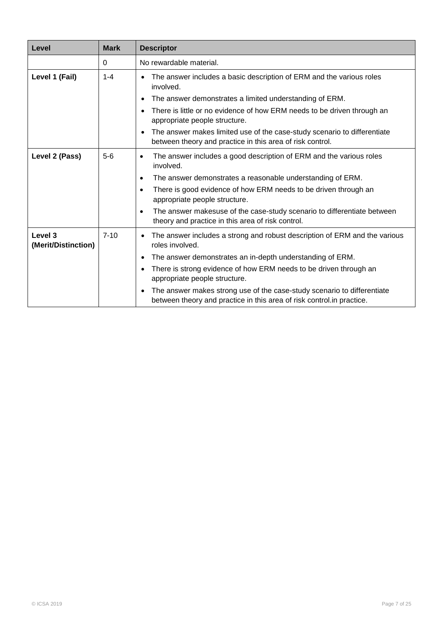| Level                          | <b>Mark</b> | <b>Descriptor</b>                                                                                                                                                                                                                                                                                                                                                                                                              |
|--------------------------------|-------------|--------------------------------------------------------------------------------------------------------------------------------------------------------------------------------------------------------------------------------------------------------------------------------------------------------------------------------------------------------------------------------------------------------------------------------|
|                                | $\Omega$    | No rewardable material.                                                                                                                                                                                                                                                                                                                                                                                                        |
| Level 1 (Fail)                 | $1 - 4$     | The answer includes a basic description of ERM and the various roles<br>involved.                                                                                                                                                                                                                                                                                                                                              |
|                                |             | The answer demonstrates a limited understanding of ERM.<br>$\bullet$<br>There is little or no evidence of how ERM needs to be driven through an<br>appropriate people structure.                                                                                                                                                                                                                                               |
|                                |             | The answer makes limited use of the case-study scenario to differentiate<br>between theory and practice in this area of risk control.                                                                                                                                                                                                                                                                                          |
| Level 2 (Pass)                 | $5-6$       | The answer includes a good description of ERM and the various roles<br>$\bullet$<br>involved.<br>The answer demonstrates a reasonable understanding of ERM.<br>$\bullet$<br>There is good evidence of how ERM needs to be driven through an<br>٠<br>appropriate people structure.<br>The answer makesuse of the case-study scenario to differentiate between<br>$\bullet$<br>theory and practice in this area of risk control. |
| Level 3<br>(Merit/Distinction) | $7 - 10$    | The answer includes a strong and robust description of ERM and the various<br>roles involved.<br>The answer demonstrates an in-depth understanding of ERM.<br>There is strong evidence of how ERM needs to be driven through an<br>appropriate people structure.<br>The answer makes strong use of the case-study scenario to differentiate<br>between theory and practice in this area of risk control.in practice.           |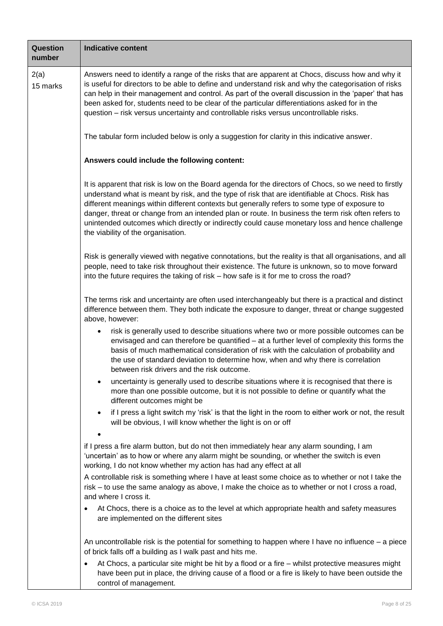| Question<br>number | <b>Indicative content</b>                                                                                                                                                                                                                                                                                                                                                                                                                                                                                                                               |  |  |  |
|--------------------|---------------------------------------------------------------------------------------------------------------------------------------------------------------------------------------------------------------------------------------------------------------------------------------------------------------------------------------------------------------------------------------------------------------------------------------------------------------------------------------------------------------------------------------------------------|--|--|--|
| 2(a)<br>15 marks   | Answers need to identify a range of the risks that are apparent at Chocs, discuss how and why it<br>is useful for directors to be able to define and understand risk and why the categorisation of risks<br>can help in their management and control. As part of the overall discussion in the 'paper' that has<br>been asked for, students need to be clear of the particular differentiations asked for in the<br>question - risk versus uncertainty and controllable risks versus uncontrollable risks.                                              |  |  |  |
|                    | The tabular form included below is only a suggestion for clarity in this indicative answer.                                                                                                                                                                                                                                                                                                                                                                                                                                                             |  |  |  |
|                    | Answers could include the following content:                                                                                                                                                                                                                                                                                                                                                                                                                                                                                                            |  |  |  |
|                    | It is apparent that risk is low on the Board agenda for the directors of Chocs, so we need to firstly<br>understand what is meant by risk, and the type of risk that are identifiable at Chocs. Risk has<br>different meanings within different contexts but generally refers to some type of exposure to<br>danger, threat or change from an intended plan or route. In business the term risk often refers to<br>unintended outcomes which directly or indirectly could cause monetary loss and hence challenge<br>the viability of the organisation. |  |  |  |
|                    | Risk is generally viewed with negative connotations, but the reality is that all organisations, and all<br>people, need to take risk throughout their existence. The future is unknown, so to move forward<br>into the future requires the taking of risk – how safe is it for me to cross the road?                                                                                                                                                                                                                                                    |  |  |  |
|                    | The terms risk and uncertainty are often used interchangeably but there is a practical and distinct<br>difference between them. They both indicate the exposure to danger, threat or change suggested<br>above, however:                                                                                                                                                                                                                                                                                                                                |  |  |  |
|                    | risk is generally used to describe situations where two or more possible outcomes can be<br>٠<br>envisaged and can therefore be quantified – at a further level of complexity this forms the<br>basis of much mathematical consideration of risk with the calculation of probability and<br>the use of standard deviation to determine how, when and why there is correlation<br>between risk drivers and the risk outcome.                                                                                                                             |  |  |  |
|                    | uncertainty is generally used to describe situations where it is recognised that there is<br>٠<br>more than one possible outcome, but it is not possible to define or quantify what the<br>different outcomes might be                                                                                                                                                                                                                                                                                                                                  |  |  |  |
|                    | if I press a light switch my 'risk' is that the light in the room to either work or not, the result<br>$\bullet$<br>will be obvious, I will know whether the light is on or off                                                                                                                                                                                                                                                                                                                                                                         |  |  |  |
|                    | if I press a fire alarm button, but do not then immediately hear any alarm sounding, I am<br>'uncertain' as to how or where any alarm might be sounding, or whether the switch is even<br>working, I do not know whether my action has had any effect at all                                                                                                                                                                                                                                                                                            |  |  |  |
|                    | A controllable risk is something where I have at least some choice as to whether or not I take the<br>risk – to use the same analogy as above, I make the choice as to whether or not I cross a road,<br>and where I cross it.                                                                                                                                                                                                                                                                                                                          |  |  |  |
|                    | At Chocs, there is a choice as to the level at which appropriate health and safety measures<br>are implemented on the different sites                                                                                                                                                                                                                                                                                                                                                                                                                   |  |  |  |
|                    | An uncontrollable risk is the potential for something to happen where I have no influence $-$ a piece<br>of brick falls off a building as I walk past and hits me.<br>At Chocs, a particular site might be hit by a flood or a fire - whilst protective measures might                                                                                                                                                                                                                                                                                  |  |  |  |
|                    | have been put in place, the driving cause of a flood or a fire is likely to have been outside the                                                                                                                                                                                                                                                                                                                                                                                                                                                       |  |  |  |

control of management.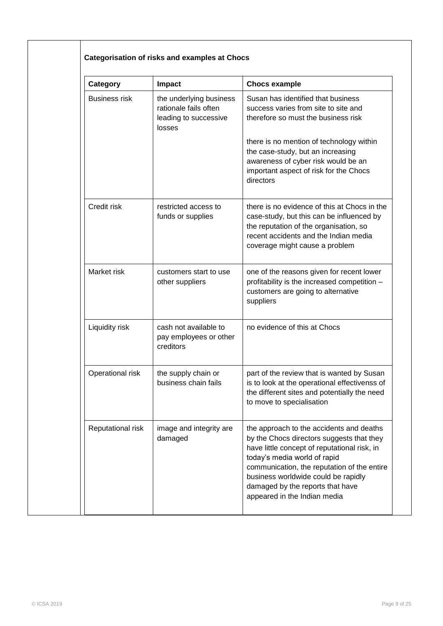| Category             | <b>Impact</b>                                                                       | <b>Chocs example</b>                                                                                                                                                                                                                                                                                                            |
|----------------------|-------------------------------------------------------------------------------------|---------------------------------------------------------------------------------------------------------------------------------------------------------------------------------------------------------------------------------------------------------------------------------------------------------------------------------|
| <b>Business risk</b> | the underlying business<br>rationale fails often<br>leading to successive<br>losses | Susan has identified that business<br>success varies from site to site and<br>therefore so must the business risk                                                                                                                                                                                                               |
|                      |                                                                                     | there is no mention of technology within<br>the case-study, but an increasing<br>awareness of cyber risk would be an<br>important aspect of risk for the Chocs<br>directors                                                                                                                                                     |
| Credit risk          | restricted access to<br>funds or supplies                                           | there is no evidence of this at Chocs in the<br>case-study, but this can be influenced by<br>the reputation of the organisation, so<br>recent accidents and the Indian media<br>coverage might cause a problem                                                                                                                  |
| Market risk          | customers start to use<br>other suppliers                                           | one of the reasons given for recent lower<br>profitability is the increased competition -<br>customers are going to alternative<br>suppliers                                                                                                                                                                                    |
| Liquidity risk       | cash not available to<br>pay employees or other<br>creditors                        | no evidence of this at Chocs                                                                                                                                                                                                                                                                                                    |
| Operational risk     | the supply chain or<br>business chain fails                                         | part of the review that is wanted by Susan<br>is to look at the operational effectivenss of<br>the different sites and potentially the need<br>to move to specialisation                                                                                                                                                        |
| Reputational risk    | image and integrity are<br>damaged                                                  | the approach to the accidents and deaths<br>by the Chocs directors suggests that they<br>have little concept of reputational risk, in<br>today's media world of rapid<br>communication, the reputation of the entire<br>business worldwide could be rapidly<br>damaged by the reports that have<br>appeared in the Indian media |

ヿ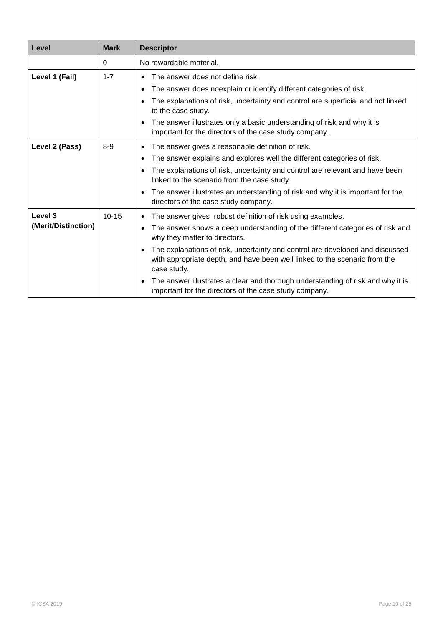| Level               | <b>Mark</b> | <b>Descriptor</b>                                                                                                                                                                       |
|---------------------|-------------|-----------------------------------------------------------------------------------------------------------------------------------------------------------------------------------------|
|                     | 0           | No rewardable material.                                                                                                                                                                 |
| Level 1 (Fail)      | $1 - 7$     | The answer does not define risk.                                                                                                                                                        |
|                     |             | The answer does noexplain or identify different categories of risk.<br>$\bullet$                                                                                                        |
|                     |             | The explanations of risk, uncertainty and control are superficial and not linked<br>to the case study.                                                                                  |
|                     |             | The answer illustrates only a basic understanding of risk and why it is<br>important for the directors of the case study company.                                                       |
| Level 2 (Pass)      | $8 - 9$     | The answer gives a reasonable definition of risk.<br>٠                                                                                                                                  |
|                     |             | The answer explains and explores well the different categories of risk.<br>$\bullet$                                                                                                    |
|                     |             | The explanations of risk, uncertainty and control are relevant and have been<br>$\bullet$<br>linked to the scenario from the case study.                                                |
|                     |             | The answer illustrates anunderstanding of risk and why it is important for the<br>$\bullet$<br>directors of the case study company.                                                     |
| Level 3             | $10 - 15$   | The answer gives robust definition of risk using examples.                                                                                                                              |
| (Merit/Distinction) |             | The answer shows a deep understanding of the different categories of risk and<br>why they matter to directors.                                                                          |
|                     |             | The explanations of risk, uncertainty and control are developed and discussed<br>$\bullet$<br>with appropriate depth, and have been well linked to the scenario from the<br>case study. |
|                     |             | The answer illustrates a clear and thorough understanding of risk and why it is<br>$\bullet$<br>important for the directors of the case study company.                                  |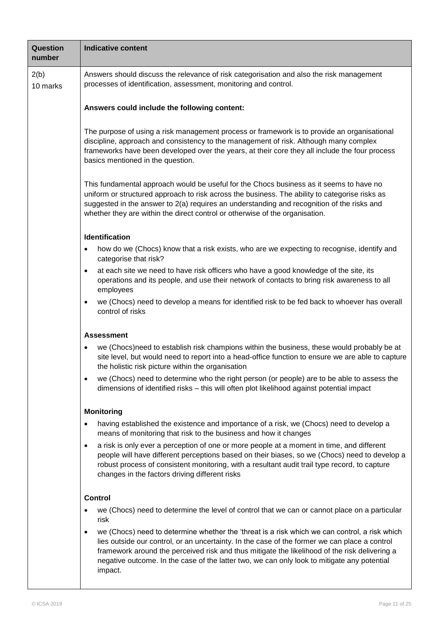| Question<br>number | <b>Indicative content</b>                                                                                                                                                                                                                                                                                                                                                                                              |
|--------------------|------------------------------------------------------------------------------------------------------------------------------------------------------------------------------------------------------------------------------------------------------------------------------------------------------------------------------------------------------------------------------------------------------------------------|
| 2(b)<br>10 marks   | Answers should discuss the relevance of risk categorisation and also the risk management<br>processes of identification, assessment, monitoring and control.                                                                                                                                                                                                                                                           |
|                    | Answers could include the following content:                                                                                                                                                                                                                                                                                                                                                                           |
|                    | The purpose of using a risk management process or framework is to provide an organisational<br>discipline, approach and consistency to the management of risk. Although many complex<br>frameworks have been developed over the years, at their core they all include the four process<br>basics mentioned in the question.                                                                                            |
|                    | This fundamental approach would be useful for the Chocs business as it seems to have no<br>uniform or structured approach to risk across the business. The ability to categorise risks as<br>suggested in the answer to 2(a) requires an understanding and recognition of the risks and<br>whether they are within the direct control or otherwise of the organisation.                                                |
|                    | <b>Identification</b>                                                                                                                                                                                                                                                                                                                                                                                                  |
|                    | how do we (Chocs) know that a risk exists, who are we expecting to recognise, identify and<br>٠<br>categorise that risk?                                                                                                                                                                                                                                                                                               |
|                    | at each site we need to have risk officers who have a good knowledge of the site, its<br>$\bullet$<br>operations and its people, and use their network of contacts to bring risk awareness to all<br>employees                                                                                                                                                                                                         |
|                    | we (Chocs) need to develop a means for identified risk to be fed back to whoever has overall<br>$\bullet$<br>control of risks                                                                                                                                                                                                                                                                                          |
|                    | <b>Assessment</b>                                                                                                                                                                                                                                                                                                                                                                                                      |
|                    | we (Chocs)need to establish risk champions within the business, these would probably be at<br>site level, but would need to report into a head-office function to ensure we are able to capture<br>the holistic risk picture within the organisation                                                                                                                                                                   |
|                    | we (Chocs) need to determine who the right person (or people) are to be able to assess the<br>dimensions of identified risks - this will often plot likelihood against potential impact                                                                                                                                                                                                                                |
|                    | <b>Monitoring</b>                                                                                                                                                                                                                                                                                                                                                                                                      |
|                    | having established the existence and importance of a risk, we (Chocs) need to develop a<br>means of monitoring that risk to the business and how it changes                                                                                                                                                                                                                                                            |
|                    | a risk is only ever a perception of one or more people at a moment in time, and different<br>٠<br>people will have different perceptions based on their biases, so we (Chocs) need to develop a<br>robust process of consistent monitoring, with a resultant audit trail type record, to capture<br>changes in the factors driving different risks                                                                     |
|                    | <b>Control</b>                                                                                                                                                                                                                                                                                                                                                                                                         |
|                    | we (Chocs) need to determine the level of control that we can or cannot place on a particular<br>٠<br>risk                                                                                                                                                                                                                                                                                                             |
|                    | we (Chocs) need to determine whether the 'threat is a risk which we can control, a risk which<br>$\bullet$<br>lies outside our control, or an uncertainty. In the case of the former we can place a control<br>framework around the perceived risk and thus mitigate the likelihood of the risk delivering a<br>negative outcome. In the case of the latter two, we can only look to mitigate any potential<br>impact. |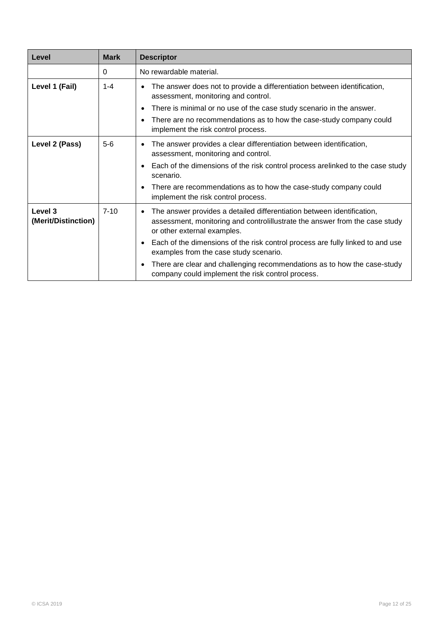| Level                          | <b>Mark</b> | <b>Descriptor</b>                                                                                                                                                                         |
|--------------------------------|-------------|-------------------------------------------------------------------------------------------------------------------------------------------------------------------------------------------|
|                                | 0           | No rewardable material.                                                                                                                                                                   |
| Level 1 (Fail)                 | $1 - 4$     | The answer does not to provide a differentiation between identification,<br>$\bullet$<br>assessment, monitoring and control.                                                              |
|                                |             | There is minimal or no use of the case study scenario in the answer.<br>$\bullet$                                                                                                         |
|                                |             | There are no recommendations as to how the case-study company could<br>$\bullet$<br>implement the risk control process.                                                                   |
| Level 2 (Pass)                 | $5 - 6$     | The answer provides a clear differentiation between identification,<br>$\bullet$<br>assessment, monitoring and control.                                                                   |
|                                |             | Each of the dimensions of the risk control process arelinked to the case study<br>$\bullet$<br>scenario.                                                                                  |
|                                |             | There are recommendations as to how the case-study company could<br>$\bullet$<br>implement the risk control process.                                                                      |
| Level 3<br>(Merit/Distinction) | $7 - 10$    | The answer provides a detailed differentiation between identification,<br>٠<br>assessment, monitoring and controlillustrate the answer from the case study<br>or other external examples. |
|                                |             | Each of the dimensions of the risk control process are fully linked to and use<br>$\bullet$<br>examples from the case study scenario.                                                     |
|                                |             | There are clear and challenging recommendations as to how the case-study<br>$\bullet$<br>company could implement the risk control process.                                                |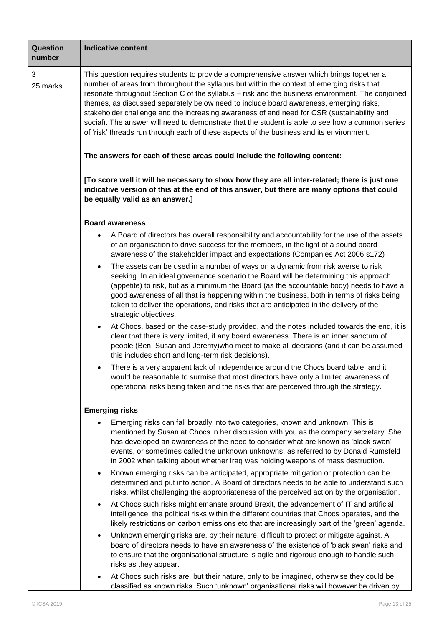| Question<br>number | <b>Indicative content</b>                                                                                                                                                                                                                                                                                                                                                                                                                                                                                                                                                                                                                                                           |
|--------------------|-------------------------------------------------------------------------------------------------------------------------------------------------------------------------------------------------------------------------------------------------------------------------------------------------------------------------------------------------------------------------------------------------------------------------------------------------------------------------------------------------------------------------------------------------------------------------------------------------------------------------------------------------------------------------------------|
| 3<br>25 marks      | This question requires students to provide a comprehensive answer which brings together a<br>number of areas from throughout the syllabus but within the context of emerging risks that<br>resonate throughout Section C of the syllabus - risk and the business environment. The conjoined<br>themes, as discussed separately below need to include board awareness, emerging risks,<br>stakeholder challenge and the increasing awareness of and need for CSR (sustainability and<br>social). The answer will need to demonstrate that the student is able to see how a common series<br>of 'risk' threads run through each of these aspects of the business and its environment. |
|                    | The answers for each of these areas could include the following content:                                                                                                                                                                                                                                                                                                                                                                                                                                                                                                                                                                                                            |
|                    | [To score well it will be necessary to show how they are all inter-related; there is just one<br>indicative version of this at the end of this answer, but there are many options that could<br>be equally valid as an answer.]                                                                                                                                                                                                                                                                                                                                                                                                                                                     |
|                    | <b>Board awareness</b>                                                                                                                                                                                                                                                                                                                                                                                                                                                                                                                                                                                                                                                              |
|                    | A Board of directors has overall responsibility and accountability for the use of the assets<br>$\bullet$<br>of an organisation to drive success for the members, in the light of a sound board<br>awareness of the stakeholder impact and expectations (Companies Act 2006 s172)                                                                                                                                                                                                                                                                                                                                                                                                   |
|                    | The assets can be used in a number of ways on a dynamic from risk averse to risk<br>$\bullet$<br>seeking. In an ideal governance scenario the Board will be determining this approach<br>(appetite) to risk, but as a minimum the Board (as the accountable body) needs to have a<br>good awareness of all that is happening within the business, both in terms of risks being<br>taken to deliver the operations, and risks that are anticipated in the delivery of the<br>strategic objectives.                                                                                                                                                                                   |
|                    | At Chocs, based on the case-study provided, and the notes included towards the end, it is<br>clear that there is very limited, if any board awareness. There is an inner sanctum of<br>people (Ben, Susan and Jeremy)who meet to make all decisions (and it can be assumed<br>this includes short and long-term risk decisions).                                                                                                                                                                                                                                                                                                                                                    |
|                    | There is a very apparent lack of independence around the Chocs board table, and it<br>would be reasonable to surmise that most directors have only a limited awareness of<br>operational risks being taken and the risks that are perceived through the strategy.                                                                                                                                                                                                                                                                                                                                                                                                                   |
|                    | <b>Emerging risks</b>                                                                                                                                                                                                                                                                                                                                                                                                                                                                                                                                                                                                                                                               |
|                    | Emerging risks can fall broadly into two categories, known and unknown. This is<br>mentioned by Susan at Chocs in her discussion with you as the company secretary. She<br>has developed an awareness of the need to consider what are known as 'black swan'<br>events, or sometimes called the unknown unknowns, as referred to by Donald Rumsfeld<br>in 2002 when talking about whether Iraq was holding weapons of mass destruction.                                                                                                                                                                                                                                             |
|                    | Known emerging risks can be anticipated, appropriate mitigation or protection can be<br>$\bullet$<br>determined and put into action. A Board of directors needs to be able to understand such<br>risks, whilst challenging the appropriateness of the perceived action by the organisation.                                                                                                                                                                                                                                                                                                                                                                                         |
|                    | At Chocs such risks might emanate around Brexit, the advancement of IT and artificial<br>$\bullet$<br>intelligence, the political risks within the different countries that Chocs operates, and the<br>likely restrictions on carbon emissions etc that are increasingly part of the 'green' agenda.                                                                                                                                                                                                                                                                                                                                                                                |
|                    | Unknown emerging risks are, by their nature, difficult to protect or mitigate against. A<br>$\bullet$<br>board of directors needs to have an awareness of the existence of 'black swan' risks and<br>to ensure that the organisational structure is agile and rigorous enough to handle such<br>risks as they appear.                                                                                                                                                                                                                                                                                                                                                               |
|                    | At Chocs such risks are, but their nature, only to be imagined, otherwise they could be<br>classified as known risks. Such 'unknown' organisational risks will however be driven by                                                                                                                                                                                                                                                                                                                                                                                                                                                                                                 |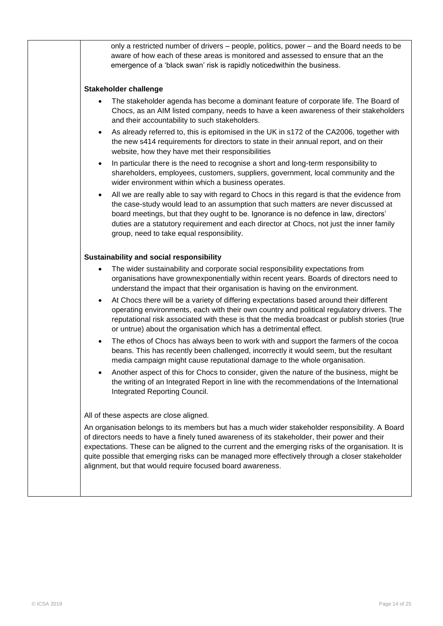| only a restricted number of drivers – people, politics, power – and the Board needs to be<br>aware of how each of these areas is monitored and assessed to ensure that an the<br>emergence of a 'black swan' risk is rapidly noticedwithin the business.<br>Stakeholder challenge<br>The stakeholder agenda has become a dominant feature of corporate life. The Board of<br>Chocs, as an AIM listed company, needs to have a keen awareness of their stakeholders<br>and their accountability to such stakeholders.<br>As already referred to, this is epitomised in the UK in s172 of the CA2006, together with<br>$\bullet$<br>the new s414 requirements for directors to state in their annual report, and on their<br>website, how they have met their responsibilities<br>In particular there is the need to recognise a short and long-term responsibility to<br>$\bullet$<br>shareholders, employees, customers, suppliers, government, local community and the<br>wider environment within which a business operates.<br>All we are really able to say with regard to Chocs in this regard is that the evidence from<br>$\bullet$<br>the case-study would lead to an assumption that such matters are never discussed at<br>board meetings, but that they ought to be. Ignorance is no defence in law, directors'<br>duties are a statutory requirement and each director at Chocs, not just the inner family<br>group, need to take equal responsibility.<br>Sustainability and social responsibility<br>The wider sustainability and corporate social responsibility expectations from<br>$\bullet$<br>organisations have grownexponentially within recent years. Boards of directors need to<br>understand the impact that their organisation is having on the environment.<br>At Chocs there will be a variety of differing expectations based around their different<br>$\bullet$<br>operating environments, each with their own country and political regulatory drivers. The<br>reputational risk associated with these is that the media broadcast or publish stories (true<br>or untrue) about the organisation which has a detrimental effect.<br>The ethos of Chocs has always been to work with and support the farmers of the cocoa<br>$\bullet$<br>beans. This has recently been challenged, incorrectly it would seem, but the resultant<br>media campaign might cause reputational damage to the whole organisation.<br>Another aspect of this for Chocs to consider, given the nature of the business, might be<br>the writing of an Integrated Report in line with the recommendations of the International<br>Integrated Reporting Council.<br>All of these aspects are close aligned.<br>An organisation belongs to its members but has a much wider stakeholder responsibility. A Board<br>of directors needs to have a finely tuned awareness of its stakeholder, their power and their<br>expectations. These can be aligned to the current and the emerging risks of the organisation. It is<br>quite possible that emerging risks can be managed more effectively through a closer stakeholder<br>alignment, but that would require focused board awareness. |  |
|------------------------------------------------------------------------------------------------------------------------------------------------------------------------------------------------------------------------------------------------------------------------------------------------------------------------------------------------------------------------------------------------------------------------------------------------------------------------------------------------------------------------------------------------------------------------------------------------------------------------------------------------------------------------------------------------------------------------------------------------------------------------------------------------------------------------------------------------------------------------------------------------------------------------------------------------------------------------------------------------------------------------------------------------------------------------------------------------------------------------------------------------------------------------------------------------------------------------------------------------------------------------------------------------------------------------------------------------------------------------------------------------------------------------------------------------------------------------------------------------------------------------------------------------------------------------------------------------------------------------------------------------------------------------------------------------------------------------------------------------------------------------------------------------------------------------------------------------------------------------------------------------------------------------------------------------------------------------------------------------------------------------------------------------------------------------------------------------------------------------------------------------------------------------------------------------------------------------------------------------------------------------------------------------------------------------------------------------------------------------------------------------------------------------------------------------------------------------------------------------------------------------------------------------------------------------------------------------------------------------------------------------------------------------------------------------------------------------------------------------------------------------------------------------------------------------------------------------------------------------------------------------------------------------------------------------------------------------------------------------------------------------------------------------------------------------------------------------------------------------------------------------------------------------------------------------|--|
|                                                                                                                                                                                                                                                                                                                                                                                                                                                                                                                                                                                                                                                                                                                                                                                                                                                                                                                                                                                                                                                                                                                                                                                                                                                                                                                                                                                                                                                                                                                                                                                                                                                                                                                                                                                                                                                                                                                                                                                                                                                                                                                                                                                                                                                                                                                                                                                                                                                                                                                                                                                                                                                                                                                                                                                                                                                                                                                                                                                                                                                                                                                                                                                                |  |
|                                                                                                                                                                                                                                                                                                                                                                                                                                                                                                                                                                                                                                                                                                                                                                                                                                                                                                                                                                                                                                                                                                                                                                                                                                                                                                                                                                                                                                                                                                                                                                                                                                                                                                                                                                                                                                                                                                                                                                                                                                                                                                                                                                                                                                                                                                                                                                                                                                                                                                                                                                                                                                                                                                                                                                                                                                                                                                                                                                                                                                                                                                                                                                                                |  |
|                                                                                                                                                                                                                                                                                                                                                                                                                                                                                                                                                                                                                                                                                                                                                                                                                                                                                                                                                                                                                                                                                                                                                                                                                                                                                                                                                                                                                                                                                                                                                                                                                                                                                                                                                                                                                                                                                                                                                                                                                                                                                                                                                                                                                                                                                                                                                                                                                                                                                                                                                                                                                                                                                                                                                                                                                                                                                                                                                                                                                                                                                                                                                                                                |  |
|                                                                                                                                                                                                                                                                                                                                                                                                                                                                                                                                                                                                                                                                                                                                                                                                                                                                                                                                                                                                                                                                                                                                                                                                                                                                                                                                                                                                                                                                                                                                                                                                                                                                                                                                                                                                                                                                                                                                                                                                                                                                                                                                                                                                                                                                                                                                                                                                                                                                                                                                                                                                                                                                                                                                                                                                                                                                                                                                                                                                                                                                                                                                                                                                |  |
|                                                                                                                                                                                                                                                                                                                                                                                                                                                                                                                                                                                                                                                                                                                                                                                                                                                                                                                                                                                                                                                                                                                                                                                                                                                                                                                                                                                                                                                                                                                                                                                                                                                                                                                                                                                                                                                                                                                                                                                                                                                                                                                                                                                                                                                                                                                                                                                                                                                                                                                                                                                                                                                                                                                                                                                                                                                                                                                                                                                                                                                                                                                                                                                                |  |
|                                                                                                                                                                                                                                                                                                                                                                                                                                                                                                                                                                                                                                                                                                                                                                                                                                                                                                                                                                                                                                                                                                                                                                                                                                                                                                                                                                                                                                                                                                                                                                                                                                                                                                                                                                                                                                                                                                                                                                                                                                                                                                                                                                                                                                                                                                                                                                                                                                                                                                                                                                                                                                                                                                                                                                                                                                                                                                                                                                                                                                                                                                                                                                                                |  |
|                                                                                                                                                                                                                                                                                                                                                                                                                                                                                                                                                                                                                                                                                                                                                                                                                                                                                                                                                                                                                                                                                                                                                                                                                                                                                                                                                                                                                                                                                                                                                                                                                                                                                                                                                                                                                                                                                                                                                                                                                                                                                                                                                                                                                                                                                                                                                                                                                                                                                                                                                                                                                                                                                                                                                                                                                                                                                                                                                                                                                                                                                                                                                                                                |  |
|                                                                                                                                                                                                                                                                                                                                                                                                                                                                                                                                                                                                                                                                                                                                                                                                                                                                                                                                                                                                                                                                                                                                                                                                                                                                                                                                                                                                                                                                                                                                                                                                                                                                                                                                                                                                                                                                                                                                                                                                                                                                                                                                                                                                                                                                                                                                                                                                                                                                                                                                                                                                                                                                                                                                                                                                                                                                                                                                                                                                                                                                                                                                                                                                |  |
|                                                                                                                                                                                                                                                                                                                                                                                                                                                                                                                                                                                                                                                                                                                                                                                                                                                                                                                                                                                                                                                                                                                                                                                                                                                                                                                                                                                                                                                                                                                                                                                                                                                                                                                                                                                                                                                                                                                                                                                                                                                                                                                                                                                                                                                                                                                                                                                                                                                                                                                                                                                                                                                                                                                                                                                                                                                                                                                                                                                                                                                                                                                                                                                                |  |
|                                                                                                                                                                                                                                                                                                                                                                                                                                                                                                                                                                                                                                                                                                                                                                                                                                                                                                                                                                                                                                                                                                                                                                                                                                                                                                                                                                                                                                                                                                                                                                                                                                                                                                                                                                                                                                                                                                                                                                                                                                                                                                                                                                                                                                                                                                                                                                                                                                                                                                                                                                                                                                                                                                                                                                                                                                                                                                                                                                                                                                                                                                                                                                                                |  |
|                                                                                                                                                                                                                                                                                                                                                                                                                                                                                                                                                                                                                                                                                                                                                                                                                                                                                                                                                                                                                                                                                                                                                                                                                                                                                                                                                                                                                                                                                                                                                                                                                                                                                                                                                                                                                                                                                                                                                                                                                                                                                                                                                                                                                                                                                                                                                                                                                                                                                                                                                                                                                                                                                                                                                                                                                                                                                                                                                                                                                                                                                                                                                                                                |  |
|                                                                                                                                                                                                                                                                                                                                                                                                                                                                                                                                                                                                                                                                                                                                                                                                                                                                                                                                                                                                                                                                                                                                                                                                                                                                                                                                                                                                                                                                                                                                                                                                                                                                                                                                                                                                                                                                                                                                                                                                                                                                                                                                                                                                                                                                                                                                                                                                                                                                                                                                                                                                                                                                                                                                                                                                                                                                                                                                                                                                                                                                                                                                                                                                |  |
|                                                                                                                                                                                                                                                                                                                                                                                                                                                                                                                                                                                                                                                                                                                                                                                                                                                                                                                                                                                                                                                                                                                                                                                                                                                                                                                                                                                                                                                                                                                                                                                                                                                                                                                                                                                                                                                                                                                                                                                                                                                                                                                                                                                                                                                                                                                                                                                                                                                                                                                                                                                                                                                                                                                                                                                                                                                                                                                                                                                                                                                                                                                                                                                                |  |
|                                                                                                                                                                                                                                                                                                                                                                                                                                                                                                                                                                                                                                                                                                                                                                                                                                                                                                                                                                                                                                                                                                                                                                                                                                                                                                                                                                                                                                                                                                                                                                                                                                                                                                                                                                                                                                                                                                                                                                                                                                                                                                                                                                                                                                                                                                                                                                                                                                                                                                                                                                                                                                                                                                                                                                                                                                                                                                                                                                                                                                                                                                                                                                                                |  |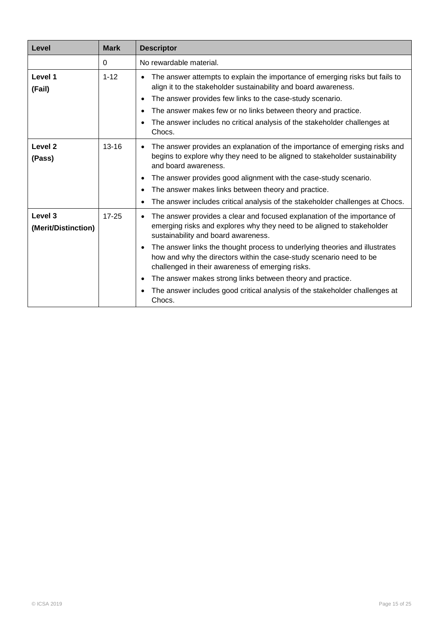| Level                          | <b>Mark</b> | <b>Descriptor</b>                                                                                                                                                                                                                                                                                                                                                                                                                                                                                                                                                                                              |
|--------------------------------|-------------|----------------------------------------------------------------------------------------------------------------------------------------------------------------------------------------------------------------------------------------------------------------------------------------------------------------------------------------------------------------------------------------------------------------------------------------------------------------------------------------------------------------------------------------------------------------------------------------------------------------|
|                                | $\Omega$    | No rewardable material.                                                                                                                                                                                                                                                                                                                                                                                                                                                                                                                                                                                        |
| Level 1<br>(Fail)              | $1 - 12$    | The answer attempts to explain the importance of emerging risks but fails to<br>$\bullet$<br>align it to the stakeholder sustainability and board awareness.<br>The answer provides few links to the case-study scenario.<br>$\bullet$<br>The answer makes few or no links between theory and practice.<br>$\bullet$<br>The answer includes no critical analysis of the stakeholder challenges at<br>$\bullet$<br>Chocs.                                                                                                                                                                                       |
| Level <sub>2</sub><br>(Pass)   | $13 - 16$   | The answer provides an explanation of the importance of emerging risks and<br>$\bullet$<br>begins to explore why they need to be aligned to stakeholder sustainability<br>and board awareness.<br>The answer provides good alignment with the case-study scenario.<br>٠<br>The answer makes links between theory and practice.<br>$\bullet$<br>The answer includes critical analysis of the stakeholder challenges at Chocs.<br>$\bullet$                                                                                                                                                                      |
| Level 3<br>(Merit/Distinction) | $17 - 25$   | The answer provides a clear and focused explanation of the importance of<br>$\bullet$<br>emerging risks and explores why they need to be aligned to stakeholder<br>sustainability and board awareness.<br>The answer links the thought process to underlying theories and illustrates<br>$\bullet$<br>how and why the directors within the case-study scenario need to be<br>challenged in their awareness of emerging risks.<br>The answer makes strong links between theory and practice.<br>$\bullet$<br>The answer includes good critical analysis of the stakeholder challenges at<br>$\bullet$<br>Chocs. |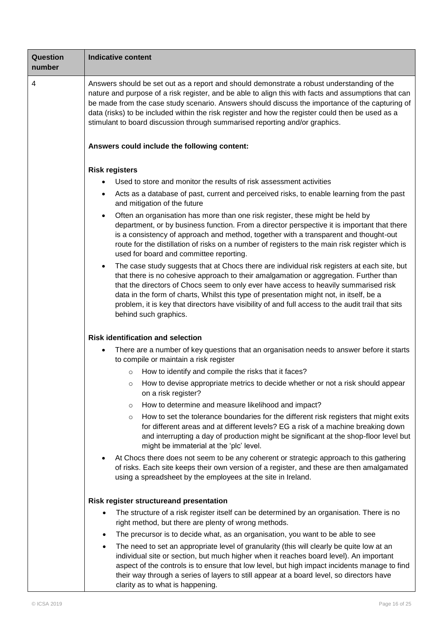| Question<br>number | <b>Indicative content</b>                                                                                                                                                                                                                                                                                                                                                                                                                                                                                          |  |  |
|--------------------|--------------------------------------------------------------------------------------------------------------------------------------------------------------------------------------------------------------------------------------------------------------------------------------------------------------------------------------------------------------------------------------------------------------------------------------------------------------------------------------------------------------------|--|--|
| 4                  | Answers should be set out as a report and should demonstrate a robust understanding of the<br>nature and purpose of a risk register, and be able to align this with facts and assumptions that can<br>be made from the case study scenario. Answers should discuss the importance of the capturing of<br>data (risks) to be included within the risk register and how the register could then be used as a<br>stimulant to board discussion through summarised reporting and/or graphics.                          |  |  |
|                    | Answers could include the following content:                                                                                                                                                                                                                                                                                                                                                                                                                                                                       |  |  |
|                    | <b>Risk registers</b><br>Used to store and monitor the results of risk assessment activities<br>Acts as a database of past, current and perceived risks, to enable learning from the past<br>٠<br>and mitigation of the future                                                                                                                                                                                                                                                                                     |  |  |
|                    | Often an organisation has more than one risk register, these might be held by<br>department, or by business function. From a director perspective it is important that there<br>is a consistency of approach and method, together with a transparent and thought-out<br>route for the distillation of risks on a number of registers to the main risk register which is<br>used for board and committee reporting.                                                                                                 |  |  |
|                    | The case study suggests that at Chocs there are individual risk registers at each site, but<br>$\bullet$<br>that there is no cohesive approach to their amalgamation or aggregation. Further than<br>that the directors of Chocs seem to only ever have access to heavily summarised risk<br>data in the form of charts, Whilst this type of presentation might not, in itself, be a<br>problem, it is key that directors have visibility of and full access to the audit trail that sits<br>behind such graphics. |  |  |
|                    | <b>Risk identification and selection</b>                                                                                                                                                                                                                                                                                                                                                                                                                                                                           |  |  |
|                    | There are a number of key questions that an organisation needs to answer before it starts<br>$\bullet$<br>to compile or maintain a risk register                                                                                                                                                                                                                                                                                                                                                                   |  |  |
|                    | How to identify and compile the risks that it faces?<br>$\circ$                                                                                                                                                                                                                                                                                                                                                                                                                                                    |  |  |
|                    | How to devise appropriate metrics to decide whether or not a risk should appear<br>O<br>on a risk register?                                                                                                                                                                                                                                                                                                                                                                                                        |  |  |
|                    | How to determine and measure likelihood and impact?<br>$\circ$                                                                                                                                                                                                                                                                                                                                                                                                                                                     |  |  |
|                    | How to set the tolerance boundaries for the different risk registers that might exits<br>$\circ$<br>for different areas and at different levels? EG a risk of a machine breaking down<br>and interrupting a day of production might be significant at the shop-floor level but<br>might be immaterial at the 'plc' level.                                                                                                                                                                                          |  |  |
|                    | At Chocs there does not seem to be any coherent or strategic approach to this gathering<br>of risks. Each site keeps their own version of a register, and these are then amalgamated<br>using a spreadsheet by the employees at the site in Ireland.                                                                                                                                                                                                                                                               |  |  |
|                    | Risk register structureand presentation                                                                                                                                                                                                                                                                                                                                                                                                                                                                            |  |  |
|                    | The structure of a risk register itself can be determined by an organisation. There is no<br>right method, but there are plenty of wrong methods.                                                                                                                                                                                                                                                                                                                                                                  |  |  |
|                    | The precursor is to decide what, as an organisation, you want to be able to see<br>$\bullet$                                                                                                                                                                                                                                                                                                                                                                                                                       |  |  |
|                    | The need to set an appropriate level of granularity (this will clearly be quite low at an<br>$\bullet$<br>individual site or section, but much higher when it reaches board level). An important<br>aspect of the controls is to ensure that low level, but high impact incidents manage to find<br>their way through a series of layers to still appear at a board level, so directors have<br>clarity as to what is happening.                                                                                   |  |  |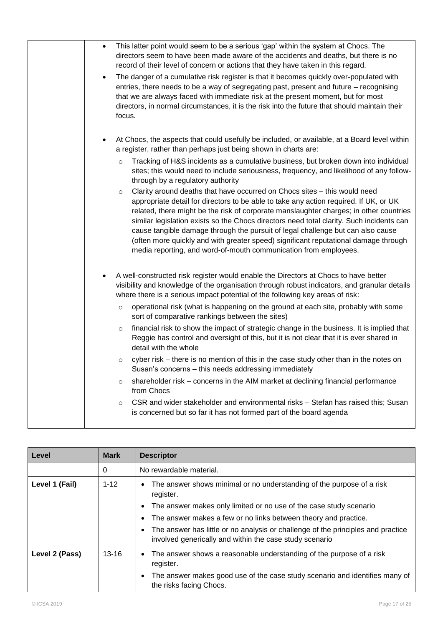| This latter point would seem to be a serious 'gap' within the system at Chocs. The<br>$\bullet$<br>directors seem to have been made aware of the accidents and deaths, but there is no<br>record of their level of concern or actions that they have taken in this regard.                                                                                                                                                                                                                                                                                                                                        |
|-------------------------------------------------------------------------------------------------------------------------------------------------------------------------------------------------------------------------------------------------------------------------------------------------------------------------------------------------------------------------------------------------------------------------------------------------------------------------------------------------------------------------------------------------------------------------------------------------------------------|
| The danger of a cumulative risk register is that it becomes quickly over-populated with<br>$\bullet$<br>entries, there needs to be a way of segregating past, present and future – recognising<br>that we are always faced with immediate risk at the present moment, but for most<br>directors, in normal circumstances, it is the risk into the future that should maintain their<br>focus.                                                                                                                                                                                                                     |
| At Chocs, the aspects that could usefully be included, or available, at a Board level within<br>a register, rather than perhaps just being shown in charts are:                                                                                                                                                                                                                                                                                                                                                                                                                                                   |
| Tracking of H&S incidents as a cumulative business, but broken down into individual<br>$\circ$<br>sites; this would need to include seriousness, frequency, and likelihood of any follow-<br>through by a regulatory authority                                                                                                                                                                                                                                                                                                                                                                                    |
| Clarity around deaths that have occurred on Chocs sites - this would need<br>$\circ$<br>appropriate detail for directors to be able to take any action required. If UK, or UK<br>related, there might be the risk of corporate manslaughter charges; in other countries<br>similar legislation exists so the Chocs directors need total clarity. Such incidents can<br>cause tangible damage through the pursuit of legal challenge but can also cause<br>(often more quickly and with greater speed) significant reputational damage through<br>media reporting, and word-of-mouth communication from employees. |
| A well-constructed risk register would enable the Directors at Chocs to have better<br>visibility and knowledge of the organisation through robust indicators, and granular details<br>where there is a serious impact potential of the following key areas of risk:                                                                                                                                                                                                                                                                                                                                              |
| operational risk (what is happening on the ground at each site, probably with some<br>$\circ$<br>sort of comparative rankings between the sites)                                                                                                                                                                                                                                                                                                                                                                                                                                                                  |
| financial risk to show the impact of strategic change in the business. It is implied that<br>$\circ$<br>Reggie has control and oversight of this, but it is not clear that it is ever shared in<br>detail with the whole                                                                                                                                                                                                                                                                                                                                                                                          |
| cyber risk - there is no mention of this in the case study other than in the notes on<br>$\circ$<br>Susan's concerns - this needs addressing immediately                                                                                                                                                                                                                                                                                                                                                                                                                                                          |
| shareholder risk - concerns in the AIM market at declining financial performance<br>$\circ$<br>from Chocs                                                                                                                                                                                                                                                                                                                                                                                                                                                                                                         |
| CSR and wider stakeholder and environmental risks - Stefan has raised this; Susan<br>$\circ$<br>is concerned but so far it has not formed part of the board agenda                                                                                                                                                                                                                                                                                                                                                                                                                                                |

| Level          | <b>Mark</b> | <b>Descriptor</b>                                                                                                                           |
|----------------|-------------|---------------------------------------------------------------------------------------------------------------------------------------------|
|                | 0           | No rewardable material.                                                                                                                     |
| Level 1 (Fail) | $1 - 12$    | The answer shows minimal or no understanding of the purpose of a risk<br>register.                                                          |
|                |             | The answer makes only limited or no use of the case study scenario                                                                          |
|                |             | The answer makes a few or no links between theory and practice.                                                                             |
|                |             | The answer has little or no analysis or challenge of the principles and practice<br>involved generically and within the case study scenario |
| Level 2 (Pass) | $13 - 16$   | The answer shows a reasonable understanding of the purpose of a risk<br>register.                                                           |
|                |             | The answer makes good use of the case study scenario and identifies many of<br>the risks facing Chocs.                                      |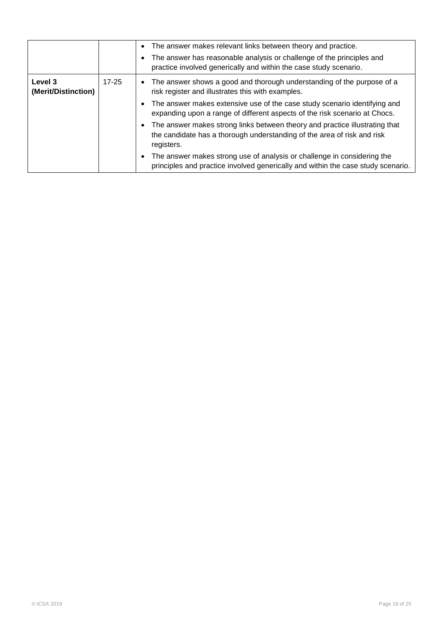|                                |           | • The answer makes relevant links between theory and practice.<br>• The answer has reasonable analysis or challenge of the principles and<br>practice involved generically and within the case study scenario. |
|--------------------------------|-----------|----------------------------------------------------------------------------------------------------------------------------------------------------------------------------------------------------------------|
| Level 3<br>(Merit/Distinction) | $17 - 25$ | • The answer shows a good and thorough understanding of the purpose of a<br>risk register and illustrates this with examples.                                                                                  |
|                                |           | • The answer makes extensive use of the case study scenario identifying and<br>expanding upon a range of different aspects of the risk scenario at Chocs.                                                      |
|                                |           | • The answer makes strong links between theory and practice illustrating that<br>the candidate has a thorough understanding of the area of risk and risk<br>registers.                                         |
|                                |           | The answer makes strong use of analysis or challenge in considering the<br>principles and practice involved generically and within the case study scenario.                                                    |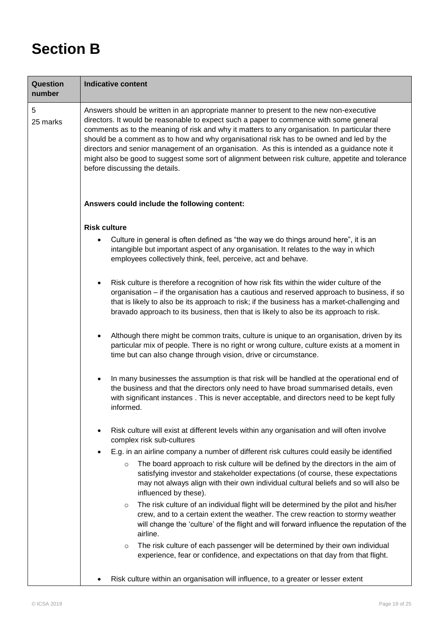# **Section B**

| Question<br>number | <b>Indicative content</b>                                                                                                                                                                                                                                                                                                                                                                                                                                                                                                                                                                                              |  |  |
|--------------------|------------------------------------------------------------------------------------------------------------------------------------------------------------------------------------------------------------------------------------------------------------------------------------------------------------------------------------------------------------------------------------------------------------------------------------------------------------------------------------------------------------------------------------------------------------------------------------------------------------------------|--|--|
| 5<br>25 marks      | Answers should be written in an appropriate manner to present to the new non-executive<br>directors. It would be reasonable to expect such a paper to commence with some general<br>comments as to the meaning of risk and why it matters to any organisation. In particular there<br>should be a comment as to how and why organisational risk has to be owned and led by the<br>directors and senior management of an organisation. As this is intended as a guidance note it<br>might also be good to suggest some sort of alignment between risk culture, appetite and tolerance<br>before discussing the details. |  |  |
|                    | Answers could include the following content:                                                                                                                                                                                                                                                                                                                                                                                                                                                                                                                                                                           |  |  |
|                    | <b>Risk culture</b>                                                                                                                                                                                                                                                                                                                                                                                                                                                                                                                                                                                                    |  |  |
|                    | Culture in general is often defined as "the way we do things around here", it is an<br>intangible but important aspect of any organisation. It relates to the way in which<br>employees collectively think, feel, perceive, act and behave.                                                                                                                                                                                                                                                                                                                                                                            |  |  |
|                    | Risk culture is therefore a recognition of how risk fits within the wider culture of the<br>organisation - if the organisation has a cautious and reserved approach to business, if so<br>that is likely to also be its approach to risk; if the business has a market-challenging and<br>bravado approach to its business, then that is likely to also be its approach to risk.                                                                                                                                                                                                                                       |  |  |
|                    | Although there might be common traits, culture is unique to an organisation, driven by its<br>particular mix of people. There is no right or wrong culture, culture exists at a moment in<br>time but can also change through vision, drive or circumstance.                                                                                                                                                                                                                                                                                                                                                           |  |  |
|                    | In many businesses the assumption is that risk will be handled at the operational end of<br>the business and that the directors only need to have broad summarised details, even<br>with significant instances . This is never acceptable, and directors need to be kept fully<br>informed.                                                                                                                                                                                                                                                                                                                            |  |  |
|                    | Risk culture will exist at different levels within any organisation and will often involve<br>complex risk sub-cultures                                                                                                                                                                                                                                                                                                                                                                                                                                                                                                |  |  |
|                    | E.g. in an airline company a number of different risk cultures could easily be identified                                                                                                                                                                                                                                                                                                                                                                                                                                                                                                                              |  |  |
|                    | The board approach to risk culture will be defined by the directors in the aim of<br>$\circ$<br>satisfying investor and stakeholder expectations (of course, these expectations<br>may not always align with their own individual cultural beliefs and so will also be<br>influenced by these).                                                                                                                                                                                                                                                                                                                        |  |  |
|                    | The risk culture of an individual flight will be determined by the pilot and his/her<br>$\circ$<br>crew, and to a certain extent the weather. The crew reaction to stormy weather<br>will change the 'culture' of the flight and will forward influence the reputation of the<br>airline.                                                                                                                                                                                                                                                                                                                              |  |  |
|                    | The risk culture of each passenger will be determined by their own individual<br>$\circ$<br>experience, fear or confidence, and expectations on that day from that flight.                                                                                                                                                                                                                                                                                                                                                                                                                                             |  |  |
|                    | Risk culture within an organisation will influence, to a greater or lesser extent                                                                                                                                                                                                                                                                                                                                                                                                                                                                                                                                      |  |  |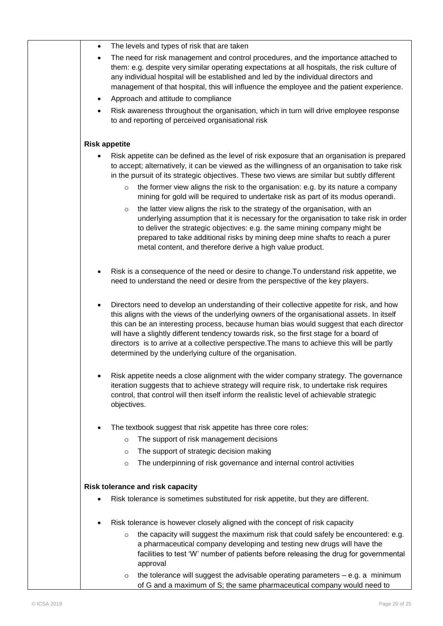| ٠ | The levels and types of risk that are taken                                                                                                                                                                                                                                                                                                                                                                                                                                                                                                |
|---|--------------------------------------------------------------------------------------------------------------------------------------------------------------------------------------------------------------------------------------------------------------------------------------------------------------------------------------------------------------------------------------------------------------------------------------------------------------------------------------------------------------------------------------------|
|   | The need for risk management and control procedures, and the importance attached to<br>them: e.g. despite very similar operating expectations at all hospitals, the risk culture of<br>any individual hospital will be established and led by the individual directors and<br>management of that hospital, this will influence the employee and the patient experience.                                                                                                                                                                    |
| ٠ | Approach and attitude to compliance                                                                                                                                                                                                                                                                                                                                                                                                                                                                                                        |
|   | Risk awareness throughout the organisation, which in turn will drive employee response<br>to and reporting of perceived organisational risk                                                                                                                                                                                                                                                                                                                                                                                                |
|   | <b>Risk appetite</b>                                                                                                                                                                                                                                                                                                                                                                                                                                                                                                                       |
|   | Risk appetite can be defined as the level of risk exposure that an organisation is prepared<br>to accept; alternatively, it can be viewed as the willingness of an organisation to take risk<br>in the pursuit of its strategic objectives. These two views are similar but subtly different                                                                                                                                                                                                                                               |
|   | the former view aligns the risk to the organisation: e.g. by its nature a company<br>$\circ$<br>mining for gold will be required to undertake risk as part of its modus operandi.                                                                                                                                                                                                                                                                                                                                                          |
|   | the latter view aligns the risk to the strategy of the organisation, with an<br>$\circ$<br>underlying assumption that it is necessary for the organisation to take risk in order<br>to deliver the strategic objectives: e.g. the same mining company might be<br>prepared to take additional risks by mining deep mine shafts to reach a purer<br>metal content, and therefore derive a high value product.                                                                                                                               |
|   | Risk is a consequence of the need or desire to change. To understand risk appetite, we<br>need to understand the need or desire from the perspective of the key players.                                                                                                                                                                                                                                                                                                                                                                   |
|   | Directors need to develop an understanding of their collective appetite for risk, and how<br>this aligns with the views of the underlying owners of the organisational assets. In itself<br>this can be an interesting process, because human bias would suggest that each director<br>will have a slightly different tendency towards risk, so the first stage for a board of<br>directors is to arrive at a collective perspective. The mans to achieve this will be partly<br>determined by the underlying culture of the organisation. |
|   | Risk appetite needs a close alignment with the wider company strategy. The governance<br>iteration suggests that to achieve strategy will require risk, to undertake risk requires<br>control, that control will then itself inform the realistic level of achievable strategic<br>objectives.                                                                                                                                                                                                                                             |
|   | The textbook suggest that risk appetite has three core roles:                                                                                                                                                                                                                                                                                                                                                                                                                                                                              |
|   | The support of risk management decisions<br>$\circ$                                                                                                                                                                                                                                                                                                                                                                                                                                                                                        |
|   | The support of strategic decision making<br>$\circ$                                                                                                                                                                                                                                                                                                                                                                                                                                                                                        |
|   | The underpinning of risk governance and internal control activities<br>$\circ$                                                                                                                                                                                                                                                                                                                                                                                                                                                             |
|   | Risk tolerance and risk capacity                                                                                                                                                                                                                                                                                                                                                                                                                                                                                                           |
|   | Risk tolerance is sometimes substituted for risk appetite, but they are different.                                                                                                                                                                                                                                                                                                                                                                                                                                                         |
|   | Risk tolerance is however closely aligned with the concept of risk capacity                                                                                                                                                                                                                                                                                                                                                                                                                                                                |
|   | the capacity will suggest the maximum risk that could safely be encountered: e.g.<br>$\circ$<br>a pharmaceutical company developing and testing new drugs will have the<br>facilities to test 'W' number of patients before releasing the drug for governmental<br>approval                                                                                                                                                                                                                                                                |
|   | the tolerance will suggest the advisable operating parameters $-$ e.g. a minimum<br>$\circ$<br>of G and a maximum of S; the same pharmaceutical company would need to                                                                                                                                                                                                                                                                                                                                                                      |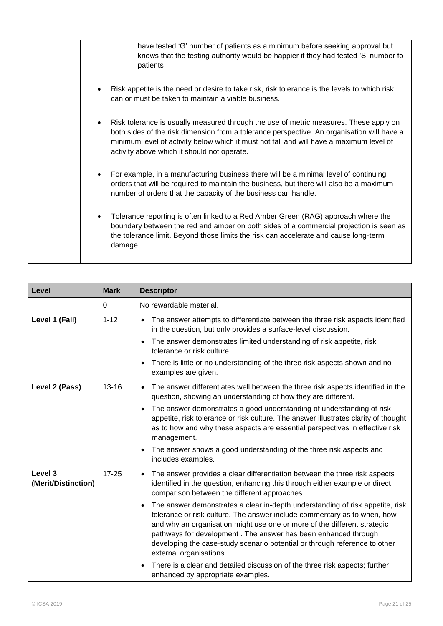| have tested 'G' number of patients as a minimum before seeking approval but<br>knows that the testing authority would be happier if they had tested 'S' number fo<br>patients                                                                                                                                                 |
|-------------------------------------------------------------------------------------------------------------------------------------------------------------------------------------------------------------------------------------------------------------------------------------------------------------------------------|
| Risk appetite is the need or desire to take risk, risk tolerance is the levels to which risk<br>can or must be taken to maintain a viable business.                                                                                                                                                                           |
| Risk tolerance is usually measured through the use of metric measures. These apply on<br>both sides of the risk dimension from a tolerance perspective. An organisation will have a<br>minimum level of activity below which it must not fall and will have a maximum level of<br>activity above which it should not operate. |
| For example, in a manufacturing business there will be a minimal level of continuing<br>orders that will be required to maintain the business, but there will also be a maximum<br>number of orders that the capacity of the business can handle.                                                                             |
| Tolerance reporting is often linked to a Red Amber Green (RAG) approach where the<br>boundary between the red and amber on both sides of a commercial projection is seen as<br>the tolerance limit. Beyond those limits the risk can accelerate and cause long-term<br>damage.                                                |

| Level                          | <b>Mark</b> | <b>Descriptor</b>                                                                                                                                                                                                                                                                                                                                                                                                                                                                                                                                                                                                                                                                                                                                                                        |
|--------------------------------|-------------|------------------------------------------------------------------------------------------------------------------------------------------------------------------------------------------------------------------------------------------------------------------------------------------------------------------------------------------------------------------------------------------------------------------------------------------------------------------------------------------------------------------------------------------------------------------------------------------------------------------------------------------------------------------------------------------------------------------------------------------------------------------------------------------|
|                                | 0           | No rewardable material.                                                                                                                                                                                                                                                                                                                                                                                                                                                                                                                                                                                                                                                                                                                                                                  |
| Level 1 (Fail)                 | $1 - 12$    | The answer attempts to differentiate between the three risk aspects identified<br>$\bullet$<br>in the question, but only provides a surface-level discussion.<br>The answer demonstrates limited understanding of risk appetite, risk<br>$\bullet$<br>tolerance or risk culture.<br>There is little or no understanding of the three risk aspects shown and no<br>$\bullet$<br>examples are given.                                                                                                                                                                                                                                                                                                                                                                                       |
| Level 2 (Pass)                 | $13 - 16$   | The answer differentiates well between the three risk aspects identified in the<br>$\bullet$<br>question, showing an understanding of how they are different.<br>The answer demonstrates a good understanding of understanding of risk<br>$\bullet$<br>appetite, risk tolerance or risk culture. The answer illustrates clarity of thought<br>as to how and why these aspects are essential perspectives in effective risk<br>management.<br>The answer shows a good understanding of the three risk aspects and<br>$\bullet$<br>includes examples.                                                                                                                                                                                                                                      |
| Level 3<br>(Merit/Distinction) | $17 - 25$   | The answer provides a clear differentiation between the three risk aspects<br>$\bullet$<br>identified in the question, enhancing this through either example or direct<br>comparison between the different approaches.<br>The answer demonstrates a clear in-depth understanding of risk appetite, risk<br>$\bullet$<br>tolerance or risk culture. The answer include commentary as to when, how<br>and why an organisation might use one or more of the different strategic<br>pathways for development. The answer has been enhanced through<br>developing the case-study scenario potential or through reference to other<br>external organisations.<br>There is a clear and detailed discussion of the three risk aspects; further<br>$\bullet$<br>enhanced by appropriate examples. |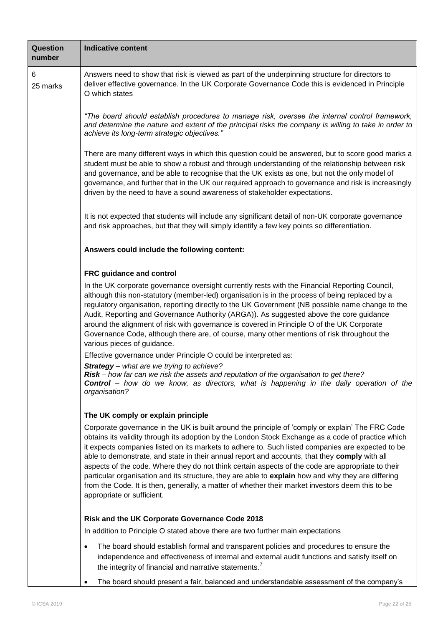| <b>Question</b><br>number | <b>Indicative content</b>                                                                                                                                                                                                                                                                                                                                                                                                                                                                                                                                                                                                                                                                                                                                 |  |  |  |
|---------------------------|-----------------------------------------------------------------------------------------------------------------------------------------------------------------------------------------------------------------------------------------------------------------------------------------------------------------------------------------------------------------------------------------------------------------------------------------------------------------------------------------------------------------------------------------------------------------------------------------------------------------------------------------------------------------------------------------------------------------------------------------------------------|--|--|--|
| 6<br>25 marks             | Answers need to show that risk is viewed as part of the underpinning structure for directors to<br>deliver effective governance. In the UK Corporate Governance Code this is evidenced in Principle<br>O which states                                                                                                                                                                                                                                                                                                                                                                                                                                                                                                                                     |  |  |  |
|                           | "The board should establish procedures to manage risk, oversee the internal control framework,<br>and determine the nature and extent of the principal risks the company is willing to take in order to<br>achieve its long-term strategic objectives."                                                                                                                                                                                                                                                                                                                                                                                                                                                                                                   |  |  |  |
|                           | There are many different ways in which this question could be answered, but to score good marks a<br>student must be able to show a robust and through understanding of the relationship between risk<br>and governance, and be able to recognise that the UK exists as one, but not the only model of<br>governance, and further that in the UK our required approach to governance and risk is increasingly<br>driven by the need to have a sound awareness of stakeholder expectations.                                                                                                                                                                                                                                                                |  |  |  |
|                           | It is not expected that students will include any significant detail of non-UK corporate governance<br>and risk approaches, but that they will simply identify a few key points so differentiation.                                                                                                                                                                                                                                                                                                                                                                                                                                                                                                                                                       |  |  |  |
|                           | Answers could include the following content:                                                                                                                                                                                                                                                                                                                                                                                                                                                                                                                                                                                                                                                                                                              |  |  |  |
|                           | FRC guidance and control                                                                                                                                                                                                                                                                                                                                                                                                                                                                                                                                                                                                                                                                                                                                  |  |  |  |
|                           | In the UK corporate governance oversight currently rests with the Financial Reporting Council,<br>although this non-statutory (member-led) organisation is in the process of being replaced by a<br>regulatory organisation, reporting directly to the UK Government (NB possible name change to the<br>Audit, Reporting and Governance Authority (ARGA)). As suggested above the core guidance<br>around the alignment of risk with governance is covered in Principle O of the UK Corporate<br>Governance Code, although there are, of course, many other mentions of risk throughout the<br>various pieces of guidance.                                                                                                                                |  |  |  |
|                           | Effective governance under Principle O could be interpreted as:                                                                                                                                                                                                                                                                                                                                                                                                                                                                                                                                                                                                                                                                                           |  |  |  |
|                           | <b>Strategy</b> – what are we trying to achieve?<br>Risk - how far can we risk the assets and reputation of the organisation to get there?<br><b>Control</b> – how do we know, as directors, what is happening in the daily operation of the<br>organisation?                                                                                                                                                                                                                                                                                                                                                                                                                                                                                             |  |  |  |
|                           | The UK comply or explain principle                                                                                                                                                                                                                                                                                                                                                                                                                                                                                                                                                                                                                                                                                                                        |  |  |  |
|                           | Corporate governance in the UK is built around the principle of 'comply or explain' The FRC Code<br>obtains its validity through its adoption by the London Stock Exchange as a code of practice which<br>it expects companies listed on its markets to adhere to. Such listed companies are expected to be<br>able to demonstrate, and state in their annual report and accounts, that they comply with all<br>aspects of the code. Where they do not think certain aspects of the code are appropriate to their<br>particular organisation and its structure, they are able to explain how and why they are differing<br>from the Code. It is then, generally, a matter of whether their market investors deem this to be<br>appropriate or sufficient. |  |  |  |
|                           | Risk and the UK Corporate Governance Code 2018                                                                                                                                                                                                                                                                                                                                                                                                                                                                                                                                                                                                                                                                                                            |  |  |  |
|                           | In addition to Principle O stated above there are two further main expectations                                                                                                                                                                                                                                                                                                                                                                                                                                                                                                                                                                                                                                                                           |  |  |  |
|                           | The board should establish formal and transparent policies and procedures to ensure the<br>$\bullet$<br>independence and effectiveness of internal and external audit functions and satisfy itself on<br>the integrity of financial and narrative statements. <sup>7</sup>                                                                                                                                                                                                                                                                                                                                                                                                                                                                                |  |  |  |
|                           | The board should present a fair, balanced and understandable assessment of the company's                                                                                                                                                                                                                                                                                                                                                                                                                                                                                                                                                                                                                                                                  |  |  |  |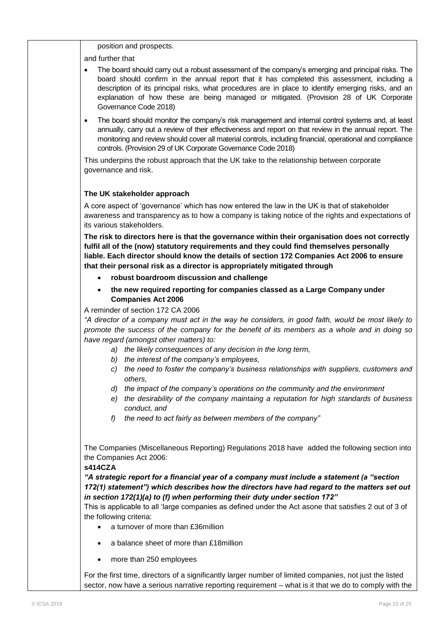position and prospects.

and further that

- The board should carry out a robust assessment of the company's emerging and principal risks. The board should confirm in the annual report that it has completed this assessment, including a description of its principal risks, what procedures are in place to identify emerging risks, and an explanation of how these are being managed or mitigated. (Provision 28 of UK Corporate Governance Code 2018)
- The board should monitor the company's risk management and internal control systems and, at least annually, carry out a review of their effectiveness and report on that review in the annual report. The monitoring and review should cover all material controls, including financial, operational and compliance controls. (Provision 29 of UK Corporate Governance Code 2018)

This underpins the robust approach that the UK take to the relationship between corporate governance and risk.

#### **The UK stakeholder approach**

A core aspect of "governance" which has now entered the law in the UK is that of stakeholder awareness and transparency as to how a company is taking notice of the rights and expectations of its various stakeholders.

**The risk to directors here is that the governance within their organisation does not correctly fulfil all of the (now) statutory requirements and they could find themselves personally liable. Each director should know the details of section 172 Companies Act 2006 to ensure that their personal risk as a director is appropriately mitigated through**

- **robust boardroom discussion and challenge**
- **the new required reporting for companies classed as a Large Company under Companies Act 2006**

A reminder of section 172 CA 2006

*"A director of a company must act in the way he considers, in good faith, would be most likely to promote the success of the company for the benefit of its members as a whole and in doing so have regard (amongst other matters) to:*

- *a) the likely consequences of any decision in the long term,*
- *b) the interest of the company"s employees,*
- *c) the need to foster the company"s business relationships with suppliers, customers and others,*
- *d) the impact of the company"s operations on the community and the environment*
- *e) the desirability of the company maintaing a reputation for high standards of business conduct, and*
- *f) the need to act fairly as between members of the company"*

The Companies (Miscellaneous Reporting) Regulations 2018 have added the following section into the Companies Act 2006:

#### **s414CZA**

*"A strategic report for a financial year of a company must include a statement (a "section 172(1) statement") which describes how the directors have had regard to the matters set out in section 172(1)(a) to (f) when performing their duty under section 172"*

This is applicable to all "large companies as defined under the Act asone that satisfies 2 out of 3 of the following criteria:

- a turnover of more than £36million
- a balance sheet of more than £18million
- more than 250 employees

For the first time, directors of a significantly larger number of limited companies, not just the listed sector, now have a serious narrative reporting requirement – what is it that we do to comply with the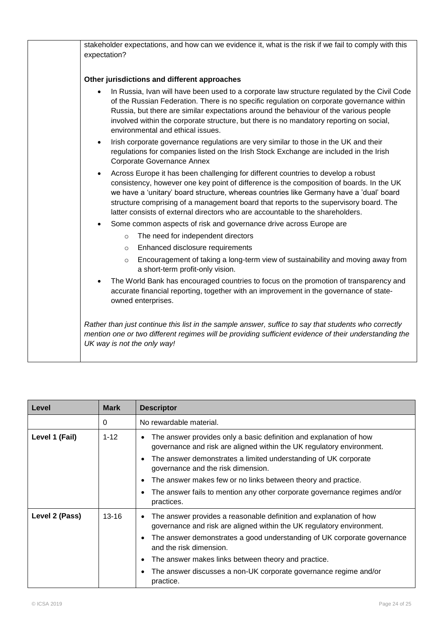| stakeholder expectations, and how can we evidence it, what is the risk if we fail to comply with this<br>expectation?                                                                                                                                                                                                                                                                                                                                            |
|------------------------------------------------------------------------------------------------------------------------------------------------------------------------------------------------------------------------------------------------------------------------------------------------------------------------------------------------------------------------------------------------------------------------------------------------------------------|
| Other jurisdictions and different approaches                                                                                                                                                                                                                                                                                                                                                                                                                     |
| In Russia, Ivan will have been used to a corporate law structure regulated by the Civil Code<br>of the Russian Federation. There is no specific regulation on corporate governance within<br>Russia, but there are similar expectations around the behaviour of the various people<br>involved within the corporate structure, but there is no mandatory reporting on social,<br>environmental and ethical issues.                                               |
| Irish corporate governance regulations are very similar to those in the UK and their<br>$\bullet$<br>regulations for companies listed on the Irish Stock Exchange are included in the Irish<br><b>Corporate Governance Annex</b>                                                                                                                                                                                                                                 |
| Across Europe it has been challenging for different countries to develop a robust<br>$\bullet$<br>consistency, however one key point of difference is the composition of boards. In the UK<br>we have a 'unitary' board structure, whereas countries like Germany have a 'dual' board<br>structure comprising of a management board that reports to the supervisory board. The<br>latter consists of external directors who are accountable to the shareholders. |
| Some common aspects of risk and governance drive across Europe are<br>$\bullet$                                                                                                                                                                                                                                                                                                                                                                                  |
| The need for independent directors<br>$\circ$                                                                                                                                                                                                                                                                                                                                                                                                                    |
| Enhanced disclosure requirements<br>$\circ$                                                                                                                                                                                                                                                                                                                                                                                                                      |
| Encouragement of taking a long-term view of sustainability and moving away from<br>$\circ$<br>a short-term profit-only vision.                                                                                                                                                                                                                                                                                                                                   |
| The World Bank has encouraged countries to focus on the promotion of transparency and<br>$\bullet$<br>accurate financial reporting, together with an improvement in the governance of state-<br>owned enterprises.                                                                                                                                                                                                                                               |
| Rather than just continue this list in the sample answer, suffice to say that students who correctly<br>mention one or two different regimes will be providing sufficient evidence of their understanding the<br>UK way is not the only way!                                                                                                                                                                                                                     |

| Level          | <b>Mark</b> | <b>Descriptor</b>                                                                                                                                                                                              |
|----------------|-------------|----------------------------------------------------------------------------------------------------------------------------------------------------------------------------------------------------------------|
|                | $\Omega$    | No rewardable material.                                                                                                                                                                                        |
| Level 1 (Fail) | $1 - 12$    | The answer provides only a basic definition and explanation of how<br>governance and risk are aligned within the UK regulatory environment.<br>The answer demonstrates a limited understanding of UK corporate |
|                |             | governance and the risk dimension.                                                                                                                                                                             |
|                |             | The answer makes few or no links between theory and practice.                                                                                                                                                  |
|                |             | The answer fails to mention any other corporate governance regimes and/or<br>practices.                                                                                                                        |
| Level 2 (Pass) | $13 - 16$   | The answer provides a reasonable definition and explanation of how<br>governance and risk are aligned within the UK regulatory environment.                                                                    |
|                |             | The answer demonstrates a good understanding of UK corporate governance<br>٠<br>and the risk dimension.                                                                                                        |
|                |             | The answer makes links between theory and practice.                                                                                                                                                            |
|                |             | The answer discusses a non-UK corporate governance regime and/or<br>practice.                                                                                                                                  |